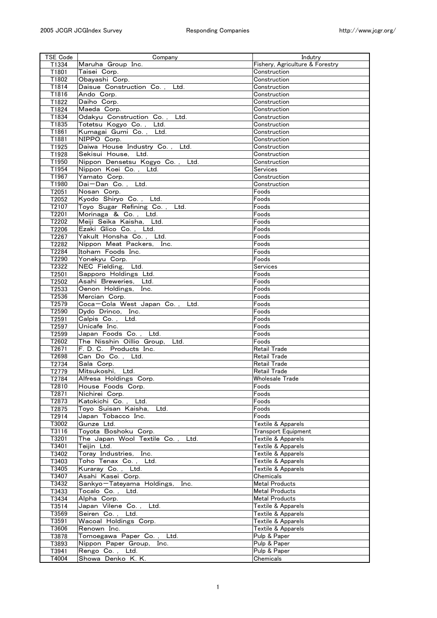| Maruha Group Inc.<br>Fishery, Agriculture & Forestry<br>T1334<br>T1801<br>Taisei Corp.<br>Construction<br>T1802<br>Obayashi Corp.<br>Construction<br>Daisue Construction Co., Ltd.<br>T1814<br>Construction<br>T1816<br>Ando Corp.<br>Construction<br>T1822<br>Daiho Corp.<br>Construction<br>T1824<br>Maeda Corp.<br>Construction<br>T1834<br>Odakyu Construction Co., Ltd.<br>Construction<br>T1835<br>Totetsu Kogyo Co., Ltd.<br>Construction<br>Kumagai Gumi Co., Ltd.<br>T1861<br>Construction<br>NIPPO Corp.<br>T1881<br>Construction<br>Daiwa House Industry Co., Ltd.<br>T1925<br>Construction<br>T1928<br>Sekisui House, Ltd.<br>Construction<br>Nippon Densetsu Kogyo Co., Ltd.<br>T1950<br>Construction<br>T1954<br>Nippon Koei Co., Ltd.<br><b>Services</b><br>T1967<br>Yamato Corp.<br>Construction<br>Dai-Dan Co., Ltd.<br>T1980<br>Construction<br>T2051<br>Foods<br>Nosan Corp.<br>Kyodo Shiryo Co., Ltd.<br>Foods<br>T2052<br>Toyo Sugar Refining Co., Ltd.<br>T2107<br>Foods<br>T2201<br>Morinaga & Co., Ltd.<br>Foods<br>T2202<br>Meiji Seika Kaisha, Ltd.<br>Foods<br>T2206<br>Ezaki Glico Co., Ltd.<br>Foods<br>Foods<br>T2267<br>Yakult Honsha Co., Ltd.<br>Nippon Meat Packers, Inc.<br>T2282<br>Foods<br>Itoham Foods Inc.<br>T2284<br>Foods<br>T2290<br>Yonekyu Corp.<br>Foods<br>NEC Fielding, Ltd.<br>T2322<br>Services<br>T2501<br>Sapporo Holdings Ltd.<br>Foods<br>Asahi Breweries, Ltd.<br>T2502<br>Foods<br>Oenon Holdings, Inc.<br>T2533<br>Foods<br>T2536<br>Mercian Corp.<br>Foods<br>T2579<br>Coca-Cola West Japan Co., Ltd.<br>Foods<br>T2590<br>Dydo Drinco, Inc.<br>Foods<br>Calpis Co., Ltd.<br>Foods<br>T2591<br>T2597<br>Unicafe Inc.<br>Foods<br>T2599<br>Japan Foods Co., Ltd.<br>Foods<br>T2602<br>The Nisshin Oillio Group,<br>Ltd.<br>Foods<br>T2671<br>F. D. C. Products Inc.<br>Retail Trade<br>Can Do Co., Ltd.<br>T2698<br><b>Retail Trade</b><br>T2734<br>Sala Corp.<br>Retail Trade<br>T2779<br>Mitsukoshi, Ltd.<br><b>Retail Trade</b><br>T2784<br>Alfresa Holdings Corp.<br>Wholesale Trade<br>Foods<br>House Foods Corp.<br>T2810<br>T2871<br>Foods<br>Nichirei Corp.<br>T2873<br>Foods<br>Katokichi Co. , Ltd.<br>T2875<br>Toyo Suisan Kaisha, Ltd.<br>Foods<br>T2914<br>Japan Tobacco Inc.<br>Foods<br>Gunze Ltd.<br>T3002<br>Textile & Apparels<br>T3116<br>Toyota Boshoku Corp.<br>Transport Equipment<br>T3201<br>The Japan Wool Textile Co.,<br>Textile & Apparels<br>Ltd.<br>T3401<br>Teijin Ltd.<br>Textile & Apparels<br>T3402<br>Toray Industries,<br>Inc.<br>Textile & Apparels<br>T3403<br>Toho Tenax Co.,<br>Ltd.<br>Textile & Apparels<br>T3405<br>Kuraray Co., Ltd.<br>Textile & Apparels<br>T3407<br>Asahi Kasei Corp.<br>Chemicals<br>T3432<br><b>Metal Products</b><br>Sankyo-Tateyama Holdings,<br>Inc.<br>T3433<br>Tocalo Co.,<br><b>Metal Products</b><br>Ltd.<br>T3434<br>Alpha Corp.<br><b>Metal Products</b><br>T3514<br>Japan Vilene Co.,<br>Textile & Apparels<br>Ltd.<br>T3569<br>Seiren Co. , Ltd.<br>Textile & Apparels<br>T3591<br>Wacoal Holdings Corp.<br>Textile & Apparels<br>T3606<br>Renown Inc.<br>Textile & Apparels<br>Tomoegawa Paper Co.,<br>T3878<br>Ltd.<br>Pulp & Paper<br>T3893<br>Nippon Paper Group, Inc.<br>Pulp & Paper<br>T3941<br>Rengo Co., Ltd.<br>Pulp & Paper | TSE Code | Company           | Indutry   |
|------------------------------------------------------------------------------------------------------------------------------------------------------------------------------------------------------------------------------------------------------------------------------------------------------------------------------------------------------------------------------------------------------------------------------------------------------------------------------------------------------------------------------------------------------------------------------------------------------------------------------------------------------------------------------------------------------------------------------------------------------------------------------------------------------------------------------------------------------------------------------------------------------------------------------------------------------------------------------------------------------------------------------------------------------------------------------------------------------------------------------------------------------------------------------------------------------------------------------------------------------------------------------------------------------------------------------------------------------------------------------------------------------------------------------------------------------------------------------------------------------------------------------------------------------------------------------------------------------------------------------------------------------------------------------------------------------------------------------------------------------------------------------------------------------------------------------------------------------------------------------------------------------------------------------------------------------------------------------------------------------------------------------------------------------------------------------------------------------------------------------------------------------------------------------------------------------------------------------------------------------------------------------------------------------------------------------------------------------------------------------------------------------------------------------------------------------------------------------------------------------------------------------------------------------------------------------------------------------------------------------------------------------------------------------------------------------------------------------------------------------------------------------------------------------------------------------------------------------------------------------------------------------------------------------------------------------------------------------------------------------------------------------------------------------------------------------------------------------------------------------------------------------------------------------------------------------------------------------------------------------------------------------|----------|-------------------|-----------|
|                                                                                                                                                                                                                                                                                                                                                                                                                                                                                                                                                                                                                                                                                                                                                                                                                                                                                                                                                                                                                                                                                                                                                                                                                                                                                                                                                                                                                                                                                                                                                                                                                                                                                                                                                                                                                                                                                                                                                                                                                                                                                                                                                                                                                                                                                                                                                                                                                                                                                                                                                                                                                                                                                                                                                                                                                                                                                                                                                                                                                                                                                                                                                                                                                                                                              |          |                   |           |
|                                                                                                                                                                                                                                                                                                                                                                                                                                                                                                                                                                                                                                                                                                                                                                                                                                                                                                                                                                                                                                                                                                                                                                                                                                                                                                                                                                                                                                                                                                                                                                                                                                                                                                                                                                                                                                                                                                                                                                                                                                                                                                                                                                                                                                                                                                                                                                                                                                                                                                                                                                                                                                                                                                                                                                                                                                                                                                                                                                                                                                                                                                                                                                                                                                                                              |          |                   |           |
|                                                                                                                                                                                                                                                                                                                                                                                                                                                                                                                                                                                                                                                                                                                                                                                                                                                                                                                                                                                                                                                                                                                                                                                                                                                                                                                                                                                                                                                                                                                                                                                                                                                                                                                                                                                                                                                                                                                                                                                                                                                                                                                                                                                                                                                                                                                                                                                                                                                                                                                                                                                                                                                                                                                                                                                                                                                                                                                                                                                                                                                                                                                                                                                                                                                                              |          |                   |           |
|                                                                                                                                                                                                                                                                                                                                                                                                                                                                                                                                                                                                                                                                                                                                                                                                                                                                                                                                                                                                                                                                                                                                                                                                                                                                                                                                                                                                                                                                                                                                                                                                                                                                                                                                                                                                                                                                                                                                                                                                                                                                                                                                                                                                                                                                                                                                                                                                                                                                                                                                                                                                                                                                                                                                                                                                                                                                                                                                                                                                                                                                                                                                                                                                                                                                              |          |                   |           |
|                                                                                                                                                                                                                                                                                                                                                                                                                                                                                                                                                                                                                                                                                                                                                                                                                                                                                                                                                                                                                                                                                                                                                                                                                                                                                                                                                                                                                                                                                                                                                                                                                                                                                                                                                                                                                                                                                                                                                                                                                                                                                                                                                                                                                                                                                                                                                                                                                                                                                                                                                                                                                                                                                                                                                                                                                                                                                                                                                                                                                                                                                                                                                                                                                                                                              |          |                   |           |
|                                                                                                                                                                                                                                                                                                                                                                                                                                                                                                                                                                                                                                                                                                                                                                                                                                                                                                                                                                                                                                                                                                                                                                                                                                                                                                                                                                                                                                                                                                                                                                                                                                                                                                                                                                                                                                                                                                                                                                                                                                                                                                                                                                                                                                                                                                                                                                                                                                                                                                                                                                                                                                                                                                                                                                                                                                                                                                                                                                                                                                                                                                                                                                                                                                                                              |          |                   |           |
|                                                                                                                                                                                                                                                                                                                                                                                                                                                                                                                                                                                                                                                                                                                                                                                                                                                                                                                                                                                                                                                                                                                                                                                                                                                                                                                                                                                                                                                                                                                                                                                                                                                                                                                                                                                                                                                                                                                                                                                                                                                                                                                                                                                                                                                                                                                                                                                                                                                                                                                                                                                                                                                                                                                                                                                                                                                                                                                                                                                                                                                                                                                                                                                                                                                                              |          |                   |           |
|                                                                                                                                                                                                                                                                                                                                                                                                                                                                                                                                                                                                                                                                                                                                                                                                                                                                                                                                                                                                                                                                                                                                                                                                                                                                                                                                                                                                                                                                                                                                                                                                                                                                                                                                                                                                                                                                                                                                                                                                                                                                                                                                                                                                                                                                                                                                                                                                                                                                                                                                                                                                                                                                                                                                                                                                                                                                                                                                                                                                                                                                                                                                                                                                                                                                              |          |                   |           |
|                                                                                                                                                                                                                                                                                                                                                                                                                                                                                                                                                                                                                                                                                                                                                                                                                                                                                                                                                                                                                                                                                                                                                                                                                                                                                                                                                                                                                                                                                                                                                                                                                                                                                                                                                                                                                                                                                                                                                                                                                                                                                                                                                                                                                                                                                                                                                                                                                                                                                                                                                                                                                                                                                                                                                                                                                                                                                                                                                                                                                                                                                                                                                                                                                                                                              |          |                   |           |
|                                                                                                                                                                                                                                                                                                                                                                                                                                                                                                                                                                                                                                                                                                                                                                                                                                                                                                                                                                                                                                                                                                                                                                                                                                                                                                                                                                                                                                                                                                                                                                                                                                                                                                                                                                                                                                                                                                                                                                                                                                                                                                                                                                                                                                                                                                                                                                                                                                                                                                                                                                                                                                                                                                                                                                                                                                                                                                                                                                                                                                                                                                                                                                                                                                                                              |          |                   |           |
|                                                                                                                                                                                                                                                                                                                                                                                                                                                                                                                                                                                                                                                                                                                                                                                                                                                                                                                                                                                                                                                                                                                                                                                                                                                                                                                                                                                                                                                                                                                                                                                                                                                                                                                                                                                                                                                                                                                                                                                                                                                                                                                                                                                                                                                                                                                                                                                                                                                                                                                                                                                                                                                                                                                                                                                                                                                                                                                                                                                                                                                                                                                                                                                                                                                                              |          |                   |           |
|                                                                                                                                                                                                                                                                                                                                                                                                                                                                                                                                                                                                                                                                                                                                                                                                                                                                                                                                                                                                                                                                                                                                                                                                                                                                                                                                                                                                                                                                                                                                                                                                                                                                                                                                                                                                                                                                                                                                                                                                                                                                                                                                                                                                                                                                                                                                                                                                                                                                                                                                                                                                                                                                                                                                                                                                                                                                                                                                                                                                                                                                                                                                                                                                                                                                              |          |                   |           |
|                                                                                                                                                                                                                                                                                                                                                                                                                                                                                                                                                                                                                                                                                                                                                                                                                                                                                                                                                                                                                                                                                                                                                                                                                                                                                                                                                                                                                                                                                                                                                                                                                                                                                                                                                                                                                                                                                                                                                                                                                                                                                                                                                                                                                                                                                                                                                                                                                                                                                                                                                                                                                                                                                                                                                                                                                                                                                                                                                                                                                                                                                                                                                                                                                                                                              |          |                   |           |
|                                                                                                                                                                                                                                                                                                                                                                                                                                                                                                                                                                                                                                                                                                                                                                                                                                                                                                                                                                                                                                                                                                                                                                                                                                                                                                                                                                                                                                                                                                                                                                                                                                                                                                                                                                                                                                                                                                                                                                                                                                                                                                                                                                                                                                                                                                                                                                                                                                                                                                                                                                                                                                                                                                                                                                                                                                                                                                                                                                                                                                                                                                                                                                                                                                                                              |          |                   |           |
|                                                                                                                                                                                                                                                                                                                                                                                                                                                                                                                                                                                                                                                                                                                                                                                                                                                                                                                                                                                                                                                                                                                                                                                                                                                                                                                                                                                                                                                                                                                                                                                                                                                                                                                                                                                                                                                                                                                                                                                                                                                                                                                                                                                                                                                                                                                                                                                                                                                                                                                                                                                                                                                                                                                                                                                                                                                                                                                                                                                                                                                                                                                                                                                                                                                                              |          |                   |           |
|                                                                                                                                                                                                                                                                                                                                                                                                                                                                                                                                                                                                                                                                                                                                                                                                                                                                                                                                                                                                                                                                                                                                                                                                                                                                                                                                                                                                                                                                                                                                                                                                                                                                                                                                                                                                                                                                                                                                                                                                                                                                                                                                                                                                                                                                                                                                                                                                                                                                                                                                                                                                                                                                                                                                                                                                                                                                                                                                                                                                                                                                                                                                                                                                                                                                              |          |                   |           |
|                                                                                                                                                                                                                                                                                                                                                                                                                                                                                                                                                                                                                                                                                                                                                                                                                                                                                                                                                                                                                                                                                                                                                                                                                                                                                                                                                                                                                                                                                                                                                                                                                                                                                                                                                                                                                                                                                                                                                                                                                                                                                                                                                                                                                                                                                                                                                                                                                                                                                                                                                                                                                                                                                                                                                                                                                                                                                                                                                                                                                                                                                                                                                                                                                                                                              |          |                   |           |
|                                                                                                                                                                                                                                                                                                                                                                                                                                                                                                                                                                                                                                                                                                                                                                                                                                                                                                                                                                                                                                                                                                                                                                                                                                                                                                                                                                                                                                                                                                                                                                                                                                                                                                                                                                                                                                                                                                                                                                                                                                                                                                                                                                                                                                                                                                                                                                                                                                                                                                                                                                                                                                                                                                                                                                                                                                                                                                                                                                                                                                                                                                                                                                                                                                                                              |          |                   |           |
|                                                                                                                                                                                                                                                                                                                                                                                                                                                                                                                                                                                                                                                                                                                                                                                                                                                                                                                                                                                                                                                                                                                                                                                                                                                                                                                                                                                                                                                                                                                                                                                                                                                                                                                                                                                                                                                                                                                                                                                                                                                                                                                                                                                                                                                                                                                                                                                                                                                                                                                                                                                                                                                                                                                                                                                                                                                                                                                                                                                                                                                                                                                                                                                                                                                                              |          |                   |           |
|                                                                                                                                                                                                                                                                                                                                                                                                                                                                                                                                                                                                                                                                                                                                                                                                                                                                                                                                                                                                                                                                                                                                                                                                                                                                                                                                                                                                                                                                                                                                                                                                                                                                                                                                                                                                                                                                                                                                                                                                                                                                                                                                                                                                                                                                                                                                                                                                                                                                                                                                                                                                                                                                                                                                                                                                                                                                                                                                                                                                                                                                                                                                                                                                                                                                              |          |                   |           |
|                                                                                                                                                                                                                                                                                                                                                                                                                                                                                                                                                                                                                                                                                                                                                                                                                                                                                                                                                                                                                                                                                                                                                                                                                                                                                                                                                                                                                                                                                                                                                                                                                                                                                                                                                                                                                                                                                                                                                                                                                                                                                                                                                                                                                                                                                                                                                                                                                                                                                                                                                                                                                                                                                                                                                                                                                                                                                                                                                                                                                                                                                                                                                                                                                                                                              |          |                   |           |
|                                                                                                                                                                                                                                                                                                                                                                                                                                                                                                                                                                                                                                                                                                                                                                                                                                                                                                                                                                                                                                                                                                                                                                                                                                                                                                                                                                                                                                                                                                                                                                                                                                                                                                                                                                                                                                                                                                                                                                                                                                                                                                                                                                                                                                                                                                                                                                                                                                                                                                                                                                                                                                                                                                                                                                                                                                                                                                                                                                                                                                                                                                                                                                                                                                                                              |          |                   |           |
|                                                                                                                                                                                                                                                                                                                                                                                                                                                                                                                                                                                                                                                                                                                                                                                                                                                                                                                                                                                                                                                                                                                                                                                                                                                                                                                                                                                                                                                                                                                                                                                                                                                                                                                                                                                                                                                                                                                                                                                                                                                                                                                                                                                                                                                                                                                                                                                                                                                                                                                                                                                                                                                                                                                                                                                                                                                                                                                                                                                                                                                                                                                                                                                                                                                                              |          |                   |           |
|                                                                                                                                                                                                                                                                                                                                                                                                                                                                                                                                                                                                                                                                                                                                                                                                                                                                                                                                                                                                                                                                                                                                                                                                                                                                                                                                                                                                                                                                                                                                                                                                                                                                                                                                                                                                                                                                                                                                                                                                                                                                                                                                                                                                                                                                                                                                                                                                                                                                                                                                                                                                                                                                                                                                                                                                                                                                                                                                                                                                                                                                                                                                                                                                                                                                              |          |                   |           |
|                                                                                                                                                                                                                                                                                                                                                                                                                                                                                                                                                                                                                                                                                                                                                                                                                                                                                                                                                                                                                                                                                                                                                                                                                                                                                                                                                                                                                                                                                                                                                                                                                                                                                                                                                                                                                                                                                                                                                                                                                                                                                                                                                                                                                                                                                                                                                                                                                                                                                                                                                                                                                                                                                                                                                                                                                                                                                                                                                                                                                                                                                                                                                                                                                                                                              |          |                   |           |
|                                                                                                                                                                                                                                                                                                                                                                                                                                                                                                                                                                                                                                                                                                                                                                                                                                                                                                                                                                                                                                                                                                                                                                                                                                                                                                                                                                                                                                                                                                                                                                                                                                                                                                                                                                                                                                                                                                                                                                                                                                                                                                                                                                                                                                                                                                                                                                                                                                                                                                                                                                                                                                                                                                                                                                                                                                                                                                                                                                                                                                                                                                                                                                                                                                                                              |          |                   |           |
|                                                                                                                                                                                                                                                                                                                                                                                                                                                                                                                                                                                                                                                                                                                                                                                                                                                                                                                                                                                                                                                                                                                                                                                                                                                                                                                                                                                                                                                                                                                                                                                                                                                                                                                                                                                                                                                                                                                                                                                                                                                                                                                                                                                                                                                                                                                                                                                                                                                                                                                                                                                                                                                                                                                                                                                                                                                                                                                                                                                                                                                                                                                                                                                                                                                                              |          |                   |           |
|                                                                                                                                                                                                                                                                                                                                                                                                                                                                                                                                                                                                                                                                                                                                                                                                                                                                                                                                                                                                                                                                                                                                                                                                                                                                                                                                                                                                                                                                                                                                                                                                                                                                                                                                                                                                                                                                                                                                                                                                                                                                                                                                                                                                                                                                                                                                                                                                                                                                                                                                                                                                                                                                                                                                                                                                                                                                                                                                                                                                                                                                                                                                                                                                                                                                              |          |                   |           |
|                                                                                                                                                                                                                                                                                                                                                                                                                                                                                                                                                                                                                                                                                                                                                                                                                                                                                                                                                                                                                                                                                                                                                                                                                                                                                                                                                                                                                                                                                                                                                                                                                                                                                                                                                                                                                                                                                                                                                                                                                                                                                                                                                                                                                                                                                                                                                                                                                                                                                                                                                                                                                                                                                                                                                                                                                                                                                                                                                                                                                                                                                                                                                                                                                                                                              |          |                   |           |
|                                                                                                                                                                                                                                                                                                                                                                                                                                                                                                                                                                                                                                                                                                                                                                                                                                                                                                                                                                                                                                                                                                                                                                                                                                                                                                                                                                                                                                                                                                                                                                                                                                                                                                                                                                                                                                                                                                                                                                                                                                                                                                                                                                                                                                                                                                                                                                                                                                                                                                                                                                                                                                                                                                                                                                                                                                                                                                                                                                                                                                                                                                                                                                                                                                                                              |          |                   |           |
|                                                                                                                                                                                                                                                                                                                                                                                                                                                                                                                                                                                                                                                                                                                                                                                                                                                                                                                                                                                                                                                                                                                                                                                                                                                                                                                                                                                                                                                                                                                                                                                                                                                                                                                                                                                                                                                                                                                                                                                                                                                                                                                                                                                                                                                                                                                                                                                                                                                                                                                                                                                                                                                                                                                                                                                                                                                                                                                                                                                                                                                                                                                                                                                                                                                                              |          |                   |           |
|                                                                                                                                                                                                                                                                                                                                                                                                                                                                                                                                                                                                                                                                                                                                                                                                                                                                                                                                                                                                                                                                                                                                                                                                                                                                                                                                                                                                                                                                                                                                                                                                                                                                                                                                                                                                                                                                                                                                                                                                                                                                                                                                                                                                                                                                                                                                                                                                                                                                                                                                                                                                                                                                                                                                                                                                                                                                                                                                                                                                                                                                                                                                                                                                                                                                              |          |                   |           |
|                                                                                                                                                                                                                                                                                                                                                                                                                                                                                                                                                                                                                                                                                                                                                                                                                                                                                                                                                                                                                                                                                                                                                                                                                                                                                                                                                                                                                                                                                                                                                                                                                                                                                                                                                                                                                                                                                                                                                                                                                                                                                                                                                                                                                                                                                                                                                                                                                                                                                                                                                                                                                                                                                                                                                                                                                                                                                                                                                                                                                                                                                                                                                                                                                                                                              |          |                   |           |
|                                                                                                                                                                                                                                                                                                                                                                                                                                                                                                                                                                                                                                                                                                                                                                                                                                                                                                                                                                                                                                                                                                                                                                                                                                                                                                                                                                                                                                                                                                                                                                                                                                                                                                                                                                                                                                                                                                                                                                                                                                                                                                                                                                                                                                                                                                                                                                                                                                                                                                                                                                                                                                                                                                                                                                                                                                                                                                                                                                                                                                                                                                                                                                                                                                                                              |          |                   |           |
|                                                                                                                                                                                                                                                                                                                                                                                                                                                                                                                                                                                                                                                                                                                                                                                                                                                                                                                                                                                                                                                                                                                                                                                                                                                                                                                                                                                                                                                                                                                                                                                                                                                                                                                                                                                                                                                                                                                                                                                                                                                                                                                                                                                                                                                                                                                                                                                                                                                                                                                                                                                                                                                                                                                                                                                                                                                                                                                                                                                                                                                                                                                                                                                                                                                                              |          |                   |           |
|                                                                                                                                                                                                                                                                                                                                                                                                                                                                                                                                                                                                                                                                                                                                                                                                                                                                                                                                                                                                                                                                                                                                                                                                                                                                                                                                                                                                                                                                                                                                                                                                                                                                                                                                                                                                                                                                                                                                                                                                                                                                                                                                                                                                                                                                                                                                                                                                                                                                                                                                                                                                                                                                                                                                                                                                                                                                                                                                                                                                                                                                                                                                                                                                                                                                              |          |                   |           |
|                                                                                                                                                                                                                                                                                                                                                                                                                                                                                                                                                                                                                                                                                                                                                                                                                                                                                                                                                                                                                                                                                                                                                                                                                                                                                                                                                                                                                                                                                                                                                                                                                                                                                                                                                                                                                                                                                                                                                                                                                                                                                                                                                                                                                                                                                                                                                                                                                                                                                                                                                                                                                                                                                                                                                                                                                                                                                                                                                                                                                                                                                                                                                                                                                                                                              |          |                   |           |
|                                                                                                                                                                                                                                                                                                                                                                                                                                                                                                                                                                                                                                                                                                                                                                                                                                                                                                                                                                                                                                                                                                                                                                                                                                                                                                                                                                                                                                                                                                                                                                                                                                                                                                                                                                                                                                                                                                                                                                                                                                                                                                                                                                                                                                                                                                                                                                                                                                                                                                                                                                                                                                                                                                                                                                                                                                                                                                                                                                                                                                                                                                                                                                                                                                                                              |          |                   |           |
|                                                                                                                                                                                                                                                                                                                                                                                                                                                                                                                                                                                                                                                                                                                                                                                                                                                                                                                                                                                                                                                                                                                                                                                                                                                                                                                                                                                                                                                                                                                                                                                                                                                                                                                                                                                                                                                                                                                                                                                                                                                                                                                                                                                                                                                                                                                                                                                                                                                                                                                                                                                                                                                                                                                                                                                                                                                                                                                                                                                                                                                                                                                                                                                                                                                                              |          |                   |           |
|                                                                                                                                                                                                                                                                                                                                                                                                                                                                                                                                                                                                                                                                                                                                                                                                                                                                                                                                                                                                                                                                                                                                                                                                                                                                                                                                                                                                                                                                                                                                                                                                                                                                                                                                                                                                                                                                                                                                                                                                                                                                                                                                                                                                                                                                                                                                                                                                                                                                                                                                                                                                                                                                                                                                                                                                                                                                                                                                                                                                                                                                                                                                                                                                                                                                              |          |                   |           |
|                                                                                                                                                                                                                                                                                                                                                                                                                                                                                                                                                                                                                                                                                                                                                                                                                                                                                                                                                                                                                                                                                                                                                                                                                                                                                                                                                                                                                                                                                                                                                                                                                                                                                                                                                                                                                                                                                                                                                                                                                                                                                                                                                                                                                                                                                                                                                                                                                                                                                                                                                                                                                                                                                                                                                                                                                                                                                                                                                                                                                                                                                                                                                                                                                                                                              |          |                   |           |
|                                                                                                                                                                                                                                                                                                                                                                                                                                                                                                                                                                                                                                                                                                                                                                                                                                                                                                                                                                                                                                                                                                                                                                                                                                                                                                                                                                                                                                                                                                                                                                                                                                                                                                                                                                                                                                                                                                                                                                                                                                                                                                                                                                                                                                                                                                                                                                                                                                                                                                                                                                                                                                                                                                                                                                                                                                                                                                                                                                                                                                                                                                                                                                                                                                                                              |          |                   |           |
|                                                                                                                                                                                                                                                                                                                                                                                                                                                                                                                                                                                                                                                                                                                                                                                                                                                                                                                                                                                                                                                                                                                                                                                                                                                                                                                                                                                                                                                                                                                                                                                                                                                                                                                                                                                                                                                                                                                                                                                                                                                                                                                                                                                                                                                                                                                                                                                                                                                                                                                                                                                                                                                                                                                                                                                                                                                                                                                                                                                                                                                                                                                                                                                                                                                                              |          |                   |           |
|                                                                                                                                                                                                                                                                                                                                                                                                                                                                                                                                                                                                                                                                                                                                                                                                                                                                                                                                                                                                                                                                                                                                                                                                                                                                                                                                                                                                                                                                                                                                                                                                                                                                                                                                                                                                                                                                                                                                                                                                                                                                                                                                                                                                                                                                                                                                                                                                                                                                                                                                                                                                                                                                                                                                                                                                                                                                                                                                                                                                                                                                                                                                                                                                                                                                              |          |                   |           |
|                                                                                                                                                                                                                                                                                                                                                                                                                                                                                                                                                                                                                                                                                                                                                                                                                                                                                                                                                                                                                                                                                                                                                                                                                                                                                                                                                                                                                                                                                                                                                                                                                                                                                                                                                                                                                                                                                                                                                                                                                                                                                                                                                                                                                                                                                                                                                                                                                                                                                                                                                                                                                                                                                                                                                                                                                                                                                                                                                                                                                                                                                                                                                                                                                                                                              |          |                   |           |
|                                                                                                                                                                                                                                                                                                                                                                                                                                                                                                                                                                                                                                                                                                                                                                                                                                                                                                                                                                                                                                                                                                                                                                                                                                                                                                                                                                                                                                                                                                                                                                                                                                                                                                                                                                                                                                                                                                                                                                                                                                                                                                                                                                                                                                                                                                                                                                                                                                                                                                                                                                                                                                                                                                                                                                                                                                                                                                                                                                                                                                                                                                                                                                                                                                                                              |          |                   |           |
|                                                                                                                                                                                                                                                                                                                                                                                                                                                                                                                                                                                                                                                                                                                                                                                                                                                                                                                                                                                                                                                                                                                                                                                                                                                                                                                                                                                                                                                                                                                                                                                                                                                                                                                                                                                                                                                                                                                                                                                                                                                                                                                                                                                                                                                                                                                                                                                                                                                                                                                                                                                                                                                                                                                                                                                                                                                                                                                                                                                                                                                                                                                                                                                                                                                                              |          |                   |           |
|                                                                                                                                                                                                                                                                                                                                                                                                                                                                                                                                                                                                                                                                                                                                                                                                                                                                                                                                                                                                                                                                                                                                                                                                                                                                                                                                                                                                                                                                                                                                                                                                                                                                                                                                                                                                                                                                                                                                                                                                                                                                                                                                                                                                                                                                                                                                                                                                                                                                                                                                                                                                                                                                                                                                                                                                                                                                                                                                                                                                                                                                                                                                                                                                                                                                              |          |                   |           |
|                                                                                                                                                                                                                                                                                                                                                                                                                                                                                                                                                                                                                                                                                                                                                                                                                                                                                                                                                                                                                                                                                                                                                                                                                                                                                                                                                                                                                                                                                                                                                                                                                                                                                                                                                                                                                                                                                                                                                                                                                                                                                                                                                                                                                                                                                                                                                                                                                                                                                                                                                                                                                                                                                                                                                                                                                                                                                                                                                                                                                                                                                                                                                                                                                                                                              |          |                   |           |
|                                                                                                                                                                                                                                                                                                                                                                                                                                                                                                                                                                                                                                                                                                                                                                                                                                                                                                                                                                                                                                                                                                                                                                                                                                                                                                                                                                                                                                                                                                                                                                                                                                                                                                                                                                                                                                                                                                                                                                                                                                                                                                                                                                                                                                                                                                                                                                                                                                                                                                                                                                                                                                                                                                                                                                                                                                                                                                                                                                                                                                                                                                                                                                                                                                                                              |          |                   |           |
|                                                                                                                                                                                                                                                                                                                                                                                                                                                                                                                                                                                                                                                                                                                                                                                                                                                                                                                                                                                                                                                                                                                                                                                                                                                                                                                                                                                                                                                                                                                                                                                                                                                                                                                                                                                                                                                                                                                                                                                                                                                                                                                                                                                                                                                                                                                                                                                                                                                                                                                                                                                                                                                                                                                                                                                                                                                                                                                                                                                                                                                                                                                                                                                                                                                                              |          |                   |           |
|                                                                                                                                                                                                                                                                                                                                                                                                                                                                                                                                                                                                                                                                                                                                                                                                                                                                                                                                                                                                                                                                                                                                                                                                                                                                                                                                                                                                                                                                                                                                                                                                                                                                                                                                                                                                                                                                                                                                                                                                                                                                                                                                                                                                                                                                                                                                                                                                                                                                                                                                                                                                                                                                                                                                                                                                                                                                                                                                                                                                                                                                                                                                                                                                                                                                              |          |                   |           |
|                                                                                                                                                                                                                                                                                                                                                                                                                                                                                                                                                                                                                                                                                                                                                                                                                                                                                                                                                                                                                                                                                                                                                                                                                                                                                                                                                                                                                                                                                                                                                                                                                                                                                                                                                                                                                                                                                                                                                                                                                                                                                                                                                                                                                                                                                                                                                                                                                                                                                                                                                                                                                                                                                                                                                                                                                                                                                                                                                                                                                                                                                                                                                                                                                                                                              |          |                   |           |
|                                                                                                                                                                                                                                                                                                                                                                                                                                                                                                                                                                                                                                                                                                                                                                                                                                                                                                                                                                                                                                                                                                                                                                                                                                                                                                                                                                                                                                                                                                                                                                                                                                                                                                                                                                                                                                                                                                                                                                                                                                                                                                                                                                                                                                                                                                                                                                                                                                                                                                                                                                                                                                                                                                                                                                                                                                                                                                                                                                                                                                                                                                                                                                                                                                                                              |          |                   |           |
|                                                                                                                                                                                                                                                                                                                                                                                                                                                                                                                                                                                                                                                                                                                                                                                                                                                                                                                                                                                                                                                                                                                                                                                                                                                                                                                                                                                                                                                                                                                                                                                                                                                                                                                                                                                                                                                                                                                                                                                                                                                                                                                                                                                                                                                                                                                                                                                                                                                                                                                                                                                                                                                                                                                                                                                                                                                                                                                                                                                                                                                                                                                                                                                                                                                                              |          |                   |           |
|                                                                                                                                                                                                                                                                                                                                                                                                                                                                                                                                                                                                                                                                                                                                                                                                                                                                                                                                                                                                                                                                                                                                                                                                                                                                                                                                                                                                                                                                                                                                                                                                                                                                                                                                                                                                                                                                                                                                                                                                                                                                                                                                                                                                                                                                                                                                                                                                                                                                                                                                                                                                                                                                                                                                                                                                                                                                                                                                                                                                                                                                                                                                                                                                                                                                              |          |                   |           |
|                                                                                                                                                                                                                                                                                                                                                                                                                                                                                                                                                                                                                                                                                                                                                                                                                                                                                                                                                                                                                                                                                                                                                                                                                                                                                                                                                                                                                                                                                                                                                                                                                                                                                                                                                                                                                                                                                                                                                                                                                                                                                                                                                                                                                                                                                                                                                                                                                                                                                                                                                                                                                                                                                                                                                                                                                                                                                                                                                                                                                                                                                                                                                                                                                                                                              |          |                   |           |
|                                                                                                                                                                                                                                                                                                                                                                                                                                                                                                                                                                                                                                                                                                                                                                                                                                                                                                                                                                                                                                                                                                                                                                                                                                                                                                                                                                                                                                                                                                                                                                                                                                                                                                                                                                                                                                                                                                                                                                                                                                                                                                                                                                                                                                                                                                                                                                                                                                                                                                                                                                                                                                                                                                                                                                                                                                                                                                                                                                                                                                                                                                                                                                                                                                                                              |          |                   |           |
|                                                                                                                                                                                                                                                                                                                                                                                                                                                                                                                                                                                                                                                                                                                                                                                                                                                                                                                                                                                                                                                                                                                                                                                                                                                                                                                                                                                                                                                                                                                                                                                                                                                                                                                                                                                                                                                                                                                                                                                                                                                                                                                                                                                                                                                                                                                                                                                                                                                                                                                                                                                                                                                                                                                                                                                                                                                                                                                                                                                                                                                                                                                                                                                                                                                                              |          |                   |           |
|                                                                                                                                                                                                                                                                                                                                                                                                                                                                                                                                                                                                                                                                                                                                                                                                                                                                                                                                                                                                                                                                                                                                                                                                                                                                                                                                                                                                                                                                                                                                                                                                                                                                                                                                                                                                                                                                                                                                                                                                                                                                                                                                                                                                                                                                                                                                                                                                                                                                                                                                                                                                                                                                                                                                                                                                                                                                                                                                                                                                                                                                                                                                                                                                                                                                              |          |                   |           |
|                                                                                                                                                                                                                                                                                                                                                                                                                                                                                                                                                                                                                                                                                                                                                                                                                                                                                                                                                                                                                                                                                                                                                                                                                                                                                                                                                                                                                                                                                                                                                                                                                                                                                                                                                                                                                                                                                                                                                                                                                                                                                                                                                                                                                                                                                                                                                                                                                                                                                                                                                                                                                                                                                                                                                                                                                                                                                                                                                                                                                                                                                                                                                                                                                                                                              |          |                   |           |
|                                                                                                                                                                                                                                                                                                                                                                                                                                                                                                                                                                                                                                                                                                                                                                                                                                                                                                                                                                                                                                                                                                                                                                                                                                                                                                                                                                                                                                                                                                                                                                                                                                                                                                                                                                                                                                                                                                                                                                                                                                                                                                                                                                                                                                                                                                                                                                                                                                                                                                                                                                                                                                                                                                                                                                                                                                                                                                                                                                                                                                                                                                                                                                                                                                                                              |          |                   |           |
|                                                                                                                                                                                                                                                                                                                                                                                                                                                                                                                                                                                                                                                                                                                                                                                                                                                                                                                                                                                                                                                                                                                                                                                                                                                                                                                                                                                                                                                                                                                                                                                                                                                                                                                                                                                                                                                                                                                                                                                                                                                                                                                                                                                                                                                                                                                                                                                                                                                                                                                                                                                                                                                                                                                                                                                                                                                                                                                                                                                                                                                                                                                                                                                                                                                                              |          |                   |           |
|                                                                                                                                                                                                                                                                                                                                                                                                                                                                                                                                                                                                                                                                                                                                                                                                                                                                                                                                                                                                                                                                                                                                                                                                                                                                                                                                                                                                                                                                                                                                                                                                                                                                                                                                                                                                                                                                                                                                                                                                                                                                                                                                                                                                                                                                                                                                                                                                                                                                                                                                                                                                                                                                                                                                                                                                                                                                                                                                                                                                                                                                                                                                                                                                                                                                              |          |                   |           |
|                                                                                                                                                                                                                                                                                                                                                                                                                                                                                                                                                                                                                                                                                                                                                                                                                                                                                                                                                                                                                                                                                                                                                                                                                                                                                                                                                                                                                                                                                                                                                                                                                                                                                                                                                                                                                                                                                                                                                                                                                                                                                                                                                                                                                                                                                                                                                                                                                                                                                                                                                                                                                                                                                                                                                                                                                                                                                                                                                                                                                                                                                                                                                                                                                                                                              |          |                   |           |
|                                                                                                                                                                                                                                                                                                                                                                                                                                                                                                                                                                                                                                                                                                                                                                                                                                                                                                                                                                                                                                                                                                                                                                                                                                                                                                                                                                                                                                                                                                                                                                                                                                                                                                                                                                                                                                                                                                                                                                                                                                                                                                                                                                                                                                                                                                                                                                                                                                                                                                                                                                                                                                                                                                                                                                                                                                                                                                                                                                                                                                                                                                                                                                                                                                                                              |          |                   |           |
|                                                                                                                                                                                                                                                                                                                                                                                                                                                                                                                                                                                                                                                                                                                                                                                                                                                                                                                                                                                                                                                                                                                                                                                                                                                                                                                                                                                                                                                                                                                                                                                                                                                                                                                                                                                                                                                                                                                                                                                                                                                                                                                                                                                                                                                                                                                                                                                                                                                                                                                                                                                                                                                                                                                                                                                                                                                                                                                                                                                                                                                                                                                                                                                                                                                                              |          |                   |           |
|                                                                                                                                                                                                                                                                                                                                                                                                                                                                                                                                                                                                                                                                                                                                                                                                                                                                                                                                                                                                                                                                                                                                                                                                                                                                                                                                                                                                                                                                                                                                                                                                                                                                                                                                                                                                                                                                                                                                                                                                                                                                                                                                                                                                                                                                                                                                                                                                                                                                                                                                                                                                                                                                                                                                                                                                                                                                                                                                                                                                                                                                                                                                                                                                                                                                              |          |                   |           |
|                                                                                                                                                                                                                                                                                                                                                                                                                                                                                                                                                                                                                                                                                                                                                                                                                                                                                                                                                                                                                                                                                                                                                                                                                                                                                                                                                                                                                                                                                                                                                                                                                                                                                                                                                                                                                                                                                                                                                                                                                                                                                                                                                                                                                                                                                                                                                                                                                                                                                                                                                                                                                                                                                                                                                                                                                                                                                                                                                                                                                                                                                                                                                                                                                                                                              | T4004    | Showa Denko K. K. | Chemicals |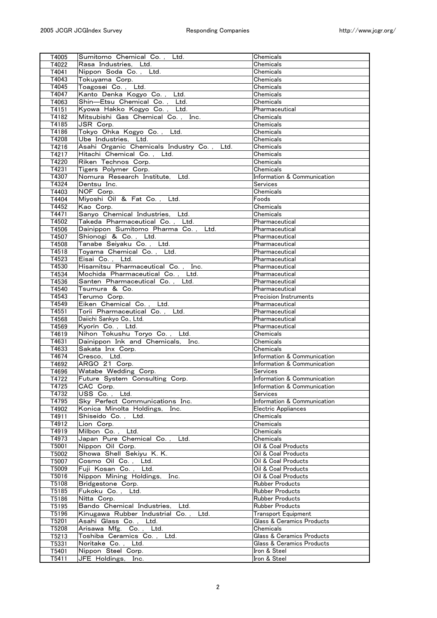| T4005          | Sumitomo Chemical Co., Ltd.                | Chemicals                            |
|----------------|--------------------------------------------|--------------------------------------|
| T4022          | Rasa Industries, Ltd.                      | Chemicals                            |
| T4041          | Nippon Soda Co., Ltd.                      | Chemicals                            |
| T4043          | Tokuyama Corp.                             | Chemicals                            |
| T4045          | Toagosei Co., Ltd.                         | Chemicals                            |
| T4047          | Kanto Denka Kogyo Co., Ltd.                | Chemicals                            |
| T4063          | Shin-Etsu Chemical Co., Ltd.               | Chemicals                            |
| T4151          | Kyowa Hakko Kogyo Co., Ltd.                | Pharmaceutical                       |
| T4182          | Mitsubishi Gas Chemical Co., Inc.          | Chemicals                            |
| T4185          | JSR Corp.                                  | Chemicals                            |
| T4186          | Tokyo Ohka Kogyo Co.,<br>Ltd.              | Chemicals                            |
| T4208          | Ube Industries. Ltd.                       | Chemicals                            |
| T4216          | Asahi Organic Chemicals Industry Co., Ltd. | Chemicals                            |
| T4217          | Hitachi Chemical Co., Ltd.                 | Chemicals                            |
| T4220          | Riken Technos Corp.                        | Chemicals                            |
| T4231          | Tigers Polymer Corp.                       | Chemicals                            |
| T4307          | Nomura Research Institute, Ltd.            | Information & Communication          |
| T4324          | Dentsu Inc.                                | <b>Services</b>                      |
| T4403          | NOF Corp.                                  | Chemicals                            |
|                | Miyoshi Oil & Fat Co., Ltd.                | $\overline{F}$ oods                  |
| T4404          | Kao Corp.                                  | Chemicals                            |
| T4452          |                                            |                                      |
| T4471<br>T4502 | Sanyo Chemical Industries, Ltd.            | Chemicals                            |
|                | Takeda Pharmaceutical Co., Ltd.            | Pharmaceutical                       |
| T4506          | Dainippon Sumitomo Pharma Co., Ltd.        | Pharmaceutical                       |
| T4507          | Shionogi & Co., Ltd.                       | Pharmaceutical                       |
| T4508          | Tanabe Seiyaku Co., Ltd.                   | Pharmaceutical                       |
| T4518          | Toyama Chemical Co., Ltd.                  | Pharmaceutical                       |
| T4523          | Eisai Co. . Ltd.                           | Pharmaceutical                       |
| T4530          | Hisamitsu Pharmaceutical Co., Inc.         | Pharmaceutical                       |
| T4534          | Mochida Pharmaceutical Co., Ltd.           | Pharmaceutical                       |
| T4536          | Santen Pharmaceutical Co.,<br>Ltd.         | Pharmaceutical                       |
| T4540          | Tsumura & Co.                              | Pharmaceutical                       |
| T4543          | Terumo Corp.                               | Precision Instruments                |
| T4549          | Eiken Chemical Co., Ltd.                   | Pharmaceutical                       |
| T4551          | Torii Pharmaceutical Co., Ltd.             | Pharmaceutical                       |
| T4568          | Daiichi Sankyo Co., Ltd.                   | Pharmaceutical                       |
| T4569          | Kyorin Co., Ltd.                           | Pharmaceutical                       |
| T4619          | Nihon Tokushu Toryo Co., Ltd.              | Chemicals                            |
| T4631          | Dainippon Ink and Chemicals, Inc.          | Chemicals                            |
| T4633          | Sakata Inx Corp.                           | Chemicals                            |
| T4674          | Cresco, Ltd.                               | Information & Communication          |
| T4692          | ARGO 21 Corp.                              | Information & Communication          |
| T4696          | Watabe Wedding Corp.                       | Services                             |
| T4722          | Future System Consulting Corp.             | Information & Communication          |
| T4725          | CAC Corp.                                  | Information & Communication          |
| T4732          | Ltd.<br>USS Co.,                           | Services                             |
| T4795          | Sky Perfect Communications Inc.            | Information & Communication          |
| T4902          | Konica Minolta Holdings,<br>Inc.           | Electric Appliances                  |
| T4911          | Shiseido Co., Ltd.                         | Chemicals                            |
| T4912          | Lion Corp.                                 | Chemicals                            |
| T4919          | Milbon Co., Ltd.                           | Chemicals                            |
| T4973          | Japan Pure Chemical Co., Ltd.              | Chemicals                            |
| T5001          | Nippon Oil Corp.                           | Oil & Coal Products                  |
| T5002          | Showa Shell Sekiyu K. K.                   | Oil & Coal Products                  |
| T5007          | Cosmo Oil Co., Ltd.                        | Oil & Coal Products                  |
| T5009          | Fuji Kosan Co., Ltd.                       | Oil & Coal Products                  |
| T5016          | Nippon Mining Holdings, Inc.               | Oil & Coal Products                  |
| T5108          | Bridgestone Corp.                          | <b>Rubber Products</b>               |
| T5185          | Fukoku Co., Ltd.                           | <b>Rubber Products</b>               |
| T5186          | Nitta Corp.                                | Rubber Products                      |
| T5195          | Bando Chemical Industries, Ltd.            | <b>Rubber Products</b>               |
| T5196          | Kinugawa Rubber Industrial Co.,<br>Ltd.    | Transport Equipment                  |
| T5201          | Asahi Glass Co., Ltd.                      | Glass & Ceramics Products            |
| T5208          | Arisawa Mfg. Co., Ltd.                     | Chemicals                            |
| T5213          | Toshiba Ceramics Co., Ltd.                 | <b>Glass &amp; Ceramics Products</b> |
| T5331          | Noritake Co., Ltd.                         | Glass & Ceramics Products            |
| T5401          | Nippon Steel Corp.                         | Iron & Steel                         |
|                |                                            |                                      |
| T5411          | JFE Holdings, Inc.                         | Iron & Steel                         |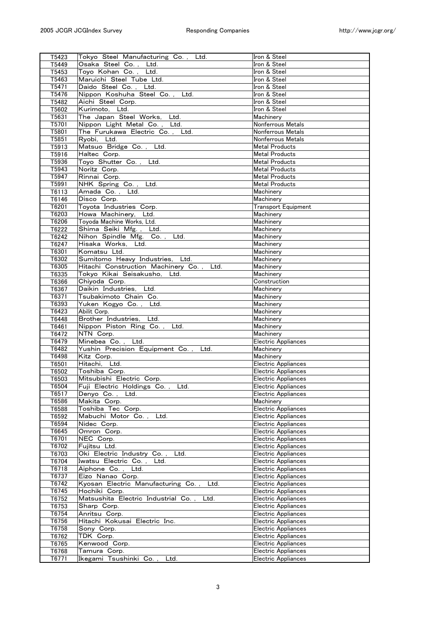| T5423          | Tokyo Steel Manufacturing Co., Ltd.                 | Iron & Steel                               |
|----------------|-----------------------------------------------------|--------------------------------------------|
| T5449          | Osaka Steel Co., Ltd.                               | Iron & Steel                               |
| T5453          | Toyo Kohan Co., Ltd.                                | Iron & Steel                               |
| T5463          | Maruichi Steel Tube Ltd.                            | Iron & Steel                               |
| T5471          | Daido Steel Co., Ltd.                               | Iron & Steel                               |
| T5476          | Nippon Koshuha Steel Co., Ltd.                      | Iron & Steel                               |
| T5482          | Aichi Steel Corp.                                   | Iron & Steel                               |
| T5602          | Kurimoto, Ltd.                                      | Iron & Steel                               |
| T5631          | The Japan Steel Works, Ltd.                         | Machinery                                  |
| T5701          | Nippon Light Metal Co., Ltd.                        | Nonferrous Metals                          |
| T5801          | The Furukawa Electric Co., Ltd.                     | Nonferrous Metals                          |
| T5851          | Ryobi, Ltd.                                         | Nonferrous Metals                          |
| T5913          | Matsuo Bridge Co., Ltd.                             | <b>Metal Products</b>                      |
| T5916          | Haltec Corp.                                        | <b>Metal Products</b>                      |
| T5936          | Toyo Shutter Co., Ltd.                              | <b>Metal Products</b>                      |
| T5943          | Noritz Corp.                                        | <b>Metal Products</b>                      |
| T5947          | Rinnai Corp.                                        | <b>Metal Products</b>                      |
| T5991          | NHK Spring Co., Ltd.                                | <b>Metal Products</b>                      |
| T6113          | Amada Co., Ltd.                                     | Machinery                                  |
| T6146          | Disco Corp.                                         | Machinery                                  |
|                | Toyota Industries Corp.                             | Transport Equipment                        |
| T6201<br>T6203 | Howa Machinery, Ltd.                                | Machinery                                  |
| T6206          | Toyoda Machine Works, Ltd.                          | Machinery                                  |
|                | Shima Seiki Mfg., Ltd.                              | Machinery                                  |
| T6222          | Nihon Spindle Mfg. Co., Ltd.                        | Machinery                                  |
| T6242          | Hisaka Works. Ltd.                                  | Machinery                                  |
| T6247          | Komatsu Ltd.                                        |                                            |
| T6301          |                                                     | Machinery                                  |
| T6302          | Sumitomo Heavy Industries, Ltd.                     | Machinery                                  |
| T6305          | Hitachi Construction Machinery Co., Ltd.            | Machinery                                  |
| T6335          | Tokyo Kikai Seisakusho, Ltd.                        | Machinery                                  |
| T6366          | Chiyoda Corp.<br>Daikin Industries. Ltd.            | Construction                               |
| T6367<br>T6371 | Tsubakimoto Chain Co.                               | Machinery<br>Machinery                     |
| T6393          | Yuken Kogyo Co., Ltd.                               | Machinery                                  |
| T6423          | Abilit Corp.                                        | Machinery                                  |
| T6448          | Brother Industries, Ltd.                            | Machinery                                  |
| T6461          | Nippon Piston Ring Co., Ltd.                        | Machinery                                  |
| T6472          | NTN Corp.                                           | Machinery                                  |
| T6479          | Minebea Co., Ltd.                                   | Electric Appliances                        |
| T6482          | Yushin Precision Equipment Co.,<br>Ltd.             | Machinery                                  |
| T6498          | Kitz Corp.                                          | Machinery                                  |
| T6501          | Hitachi, Ltd.                                       | Electric Appliances                        |
| T6502          | Toshiba Corp.                                       | Electric Appliances                        |
| T6503          | Mitsubishi Electric Corp.                           | Electric Appliances                        |
| T6504          | Fuji Electric Holdings Co.,<br>Ltd.                 | Electric Appliances                        |
| T6517          | Denyo Co., Ltd.                                     | Electric Appliances                        |
| T6586          | Makita Corp.                                        | Machinery                                  |
| T6588          | Toshiba Tec Corp.                                   | Electric Appliances                        |
| T6592          | Mabuchi Motor Co.,<br>Ltd.                          | Electric Appliances                        |
| T6594          | Nidec Corp.                                         | Electric Appliances                        |
| T6645          | Omron Corp.                                         | Electric Appliances                        |
| T6701          | NEC Corp.                                           | Electric Appliances                        |
| T6702          | Fujitsu Ltd.                                        | Electric Appliances                        |
| T6703          | Oki Electric Industry Co.,<br>Ltd.                  | Electric Appliances                        |
| T6704          |                                                     |                                            |
|                | Ltd.                                                |                                            |
|                | Iwatsu Electric Co.,                                | Electric Appliances                        |
| T6718<br>T6737 | Aiphone Co., Ltd.<br>Eizo Nanao Corp.               | Electric Appliances<br>Electric Appliances |
|                | Ltd.                                                |                                            |
| T6742<br>T6745 | Kyosan Electric Manufacturing Co.,<br>Hochiki Corp. | Electric Appliances<br>Electric Appliances |
| T6752          | Matsushita Electric Industrial Co.,<br>Ltd.         | Electric Appliances                        |
| T6753          | Sharp Corp.                                         | Electric Appliances                        |
| T6754          | Anritsu Corp.                                       | Electric Appliances                        |
| T6756          | Hitachi Kokusai Electric Inc.                       | Electric Appliances                        |
| T6758          | Sony Corp.                                          | Electric Appliances                        |
| T6762          | TDK Corp.                                           | Electric Appliances                        |
| T6765          | Kenwood Corp.                                       | Electric Appliances                        |
| T6768<br>T6771 | Tamura Corp.<br>Ikegami Tsushinki Co.,<br>Ltd.      | Electric Appliances<br>Electric Appliances |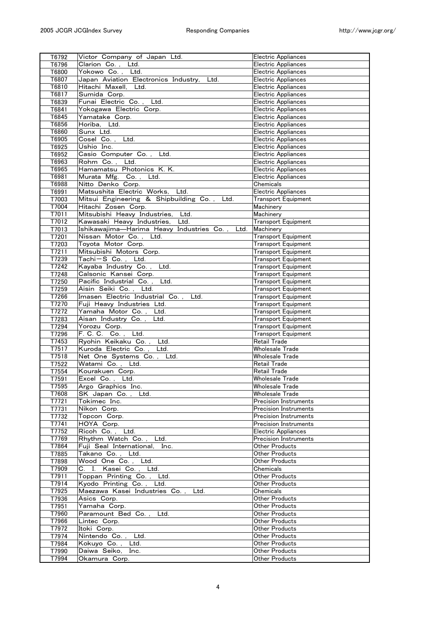| T6792          | Victor Company of Japan Ltd.                             | Electric Appliances              |
|----------------|----------------------------------------------------------|----------------------------------|
| T6796          | Clarion Co., Ltd.                                        | Electric Appliances              |
| T6800          | Yokowo Co., Ltd.                                         | Electric Appliances              |
| T6807          | Japan Aviation Electronics Industry,<br>Ltd.             | Electric Appliances              |
| T6810          | Hitachi Maxell, Ltd.                                     | Electric Appliances              |
| T6817          | Sumida Corp.                                             | Electric Appliances              |
| T6839          | Funai Electric Co., Ltd.                                 | Electric Appliances              |
| T6841          | Yokogawa Electric Corp.                                  | Electric Appliances              |
| T6845          | Yamatake Corp.                                           | Electric Appliances              |
| T6856          | Horiba. Ltd.                                             | Electric Appliances              |
| T6860          | Sunx Ltd.                                                | Electric Appliances              |
| T6905          | Cosel Co., Ltd.                                          | Electric Appliances              |
| T6925          | Ushio Inc.                                               | Electric Appliances              |
| T6952          | Casio Computer Co.,<br>Ltd.                              | Electric Appliances              |
| T6963          | Rohm Co., Ltd.                                           | Electric Appliances              |
| T6965          | Hamamatsu Photonics K. K.                                | Electric Appliances              |
| T6981          | Murata Mfg. Co., Ltd.                                    | Electric Appliances              |
| T6988          | Nitto Denko Corp.                                        | Chemicals                        |
| T6991          | Matsushita Electric Works, Ltd.                          | Electric Appliances              |
| T7003          | Mitsui Engineering & Shipbuilding Co.,<br>Ltd.           | <b>Transport Equipment</b>       |
| T7004<br>T7011 | Hitachi Zosen Corp.<br>Mitsubishi Heavy Industries, Ltd. | Machinery<br>Machinery           |
| T7012          | Kawasaki Heavy Industries, Ltd.                          | <b>Transport Equipment</b>       |
| T7013          | Ishikawajima-Harima Heavy Industries Co.,<br>Ltd.        | Machinery                        |
| T7201          | Nissan Motor Co., Ltd.                                   | <b>Transport Equipment</b>       |
| T7203          | Toyota Motor Corp.                                       | <b>Transport Equipment</b>       |
| T7211          | Mitsubishi Motors Corp.                                  | Transport Equipment              |
| T7239          | Tachi-S Co., Ltd.                                        | Transport Equipment              |
| T7242          | Kayaba Industry Co.,<br>Ltd.                             | <b>Transport Equipment</b>       |
| T7248          | Calsonic Kansei Corp.                                    | <b>Transport Equipment</b>       |
| T7250          | Pacific Industrial Co., Ltd.                             | <b>Transport Equipment</b>       |
| T7259          | Aisin Seiki Co., Ltd.                                    | <b>Transport Equipment</b>       |
| T7266          | Imasen Electric Industrial Co.,<br>Ltd.                  | <b>Transport Equipment</b>       |
| T7270          | Fuji Heavy Industries Ltd.                               | <b>Transport Equipment</b>       |
|                | Yamaha Motor Co., Ltd.                                   | <b>Transport Equipment</b>       |
| T7272          |                                                          |                                  |
| T7283          | Aisan Industry Co., Ltd.                                 | <b>Transport Equipment</b>       |
| T7294          | Yorozu Corp.                                             | <b>Transport Equipment</b>       |
| T7296          | F. C. C. Co., Ltd.                                       | Transport Equipment              |
| T7453          | Ryohin Keikaku Co., Ltd.                                 | <b>Retail Trade</b>              |
| T7517          | Kuroda Electric Co., Ltd.                                | Wholesale Trade                  |
| T7518          | Net One Systems Co., Ltd.                                | <b>Wholesale Trade</b>           |
| T7522          | Watami Co., Ltd.                                         | Retail Trade                     |
| T7554          | Kourakuen Corp.                                          | Retail Trade                     |
| T7591          | Excel Co., Ltd.                                          | Wholesale Trade                  |
| T7595          | Argo Graphics Inc.                                       | Wholesale Trade                  |
| T7608          | SK Japan Co.,<br>Ltd.                                    | Wholesale Trade                  |
| T7721          | Tokimec Inc.                                             | <b>Precision Instruments</b>     |
| T7731          | Nikon Corp.                                              | <b>Precision Instruments</b>     |
| T7732          | Topcon Corp.                                             | Precision Instruments            |
| T7741          | HOYA Corp.                                               | Precision Instruments            |
| T7752          | Ricoh Co., Ltd.                                          | Electric Appliances              |
| T7769          | Rhythm Watch Co., Ltd.                                   | <b>Precision Instruments</b>     |
| T7864          | Fuji Seal International, Inc.                            | Other Products                   |
| T7885          | Takano Co., Ltd.                                         | Other Products                   |
| T7898          | Wood One Co., Ltd.                                       | Other Products                   |
| T7909          | C. I. Kasei Co., Ltd.                                    | Chemicals                        |
| T7911          | Toppan Printing Co., Ltd.                                | Other Products                   |
| T7914          | Kyodo Printing Co., Ltd.                                 | Other Products                   |
| T7925          | Maezawa Kasei Industries Co., Ltd.                       | Chemicals<br>Other Products      |
| T7936          | Asics Corp.                                              | <b>Other Products</b>            |
| T7951<br>T7960 | Yamaha Corp.                                             | Other Products                   |
| T7966          | Paramount Bed Co., Ltd.<br>Lintec Corp.                  | Other Products                   |
| T7972          | Itoki Corp.                                              | Other Products                   |
| T7974          | Nintendo Co., Ltd.                                       | Other Products                   |
| T7984          | Kokuyo Co., Ltd.                                         | Other Products                   |
| T7990          | Daiwa Seiko, Inc.                                        | Other Products<br>Other Products |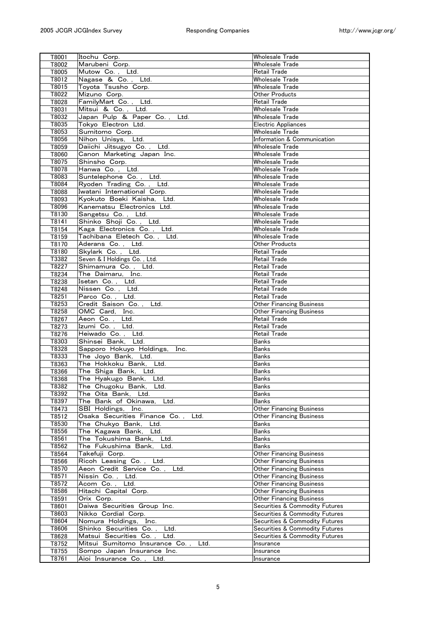| T8001          | Itochu Corp.                                              | <b>Wholesale Trade</b>             |
|----------------|-----------------------------------------------------------|------------------------------------|
| T8002          | Marubeni Corp.                                            | <b>Wholesale Trade</b>             |
| T8005          | Mutow Co., Ltd.                                           | <b>Retail Trade</b>                |
| T8012          | Nagase & Co., Ltd.                                        | Wholesale Trade                    |
| T8015          | Toyota Tsusho Corp.                                       | Wholesale Trade                    |
| T8022          | Mizuno Corp.                                              | <b>Other Products</b>              |
| T8028          | FamilyMart Co., Ltd.                                      | <b>Retail Trade</b>                |
| T8031          | Mitsui & Co., Ltd.                                        | Wholesale Trade                    |
| T8032          | Japan Pulp & Paper Co., Ltd.                              | Wholesale Trade                    |
| T8035          | Tokyo Electron Ltd.                                       | Electric Appliances                |
| T8053          | Sumitomo Corp.                                            | <b>Wholesale Trade</b>             |
| T8056          | Nihon Unisys, Ltd.                                        | Information & Communication        |
| T8059          | Daiichi Jitsugyo Co., Ltd.                                | <b>Wholesale Trade</b>             |
| T8060          | Canon Marketing Japan Inc.                                | <b>Wholesale Trade</b>             |
| T8075          | Shinsho Corp.                                             | Wholesale Trade                    |
| T8078          | Hanwa Co., Ltd.                                           | Wholesale Trade                    |
| T8083          | Suntelephone Co., Ltd.                                    | Wholesale Trade                    |
| T8084          | Ryoden Trading Co., Ltd.                                  | Wholesale Trade                    |
| T8088          | Iwatani International Corp.                               | <b>Wholesale Trade</b>             |
| T8093          | Kvokuto Boeki Kaisha. Ltd.                                | Wholesale Trade<br>Wholesale Trade |
| T8096          | Kanematsu Electronics Ltd.                                | Wholesale Trade                    |
| T8130          | Sangetsu Co., Ltd.<br>Shinko Shoji Co., Ltd.              | Wholesale Trade                    |
| T8141<br>T8154 | Kaga Electronics Co., Ltd.                                | Wholesale Trade                    |
| T8159          | Tachibana Eletech Co., Ltd.                               | Wholesale Trade                    |
| T8170          | Aderans Co., Ltd.                                         | Other Products                     |
| T8180          | Skylark Co., Ltd.                                         | <b>Retail Trade</b>                |
| T3382          | Seven & I Holdings Co., Ltd.                              | <b>Retail Trade</b>                |
| T8227          | Shimamura Co., Ltd.                                       | Retail Trade                       |
| T8234          | The Daimaru, Inc.                                         | Retail Trade                       |
| T8238          | Isetan Co., Ltd.                                          | Retail Trade                       |
| T8248          | Nissen Co., Ltd.                                          | Retail Trade                       |
| T8251          | Parco Co., Ltd.                                           | Retail Trade                       |
| T8253          | Credit Saison Co., Ltd.                                   | <b>Other Financing Business</b>    |
| T8258          | OMC Card, Inc.                                            | <b>Other Financing Business</b>    |
| T8267          | Aeon Co., Ltd.                                            | Retail Trade                       |
| T8273          | Izumi Co., Ltd.                                           | Retail Trade                       |
| T8276          | Heiwado Co., Ltd.                                         | Retail Trade                       |
| T8303          | Shinsei Bank, Ltd.                                        | <b>Banks</b>                       |
| T8328          | Sapporo Hokuyo Holdings, Inc.                             | <b>Banks</b>                       |
| T8333          | The Joyo Bank, Ltd.                                       | <b>Banks</b>                       |
| T8363          | The Hokkoku Bank, Ltd.                                    | <b>Banks</b>                       |
| T8366          | The Shiga Bank, Ltd.                                      | <b>Banks</b>                       |
| T8368          | The Hyakugo Bank, Ltd.                                    | Banks                              |
| T8382          | The Chugoku Bank, Ltd.                                    | Banks                              |
| T8392          | The Oita Bank, Ltd.                                       | <b>Banks</b>                       |
| T8397          | The Bank of Okinawa,<br>Ltd.                              | <b>Banks</b>                       |
| T8473          | SBI Holdings, Inc.                                        | <b>Other Financing Business</b>    |
| T8512          | Osaka Securities Finance Co.,<br>Ltd.                     | <b>Other Financing Business</b>    |
| T8530          | The Chukyo Bank, Ltd.                                     | Banks                              |
| T8556          | The Kagawa Bank, Ltd.                                     | Banks                              |
| T8561          | The Tokushima Bank,<br>Ltd.                               | <b>Banks</b>                       |
| T8562          | The Fukushima Bank,<br>Ltd.                               | <b>Banks</b>                       |
| T8564          | Takefuji Corp.                                            | <b>Other Financing Business</b>    |
| T8566          | Ricoh Leasing Co., Ltd.                                   | <b>Other Financing Business</b>    |
| T8570          | Aeon Credit Service Co.,<br>Ltd.                          | <b>Other Financing Business</b>    |
| T8571          | Nissin Co., Ltd.                                          | <b>Other Financing Business</b>    |
| T8572          | Acom Co.,<br>Ltd.                                         | <b>Other Financing Business</b>    |
| T8586          | Hitachi Capital Corp.                                     | <b>Other Financing Business</b>    |
| T8591          | Orix Corp.                                                | <b>Other Financing Business</b>    |
| T8601          | Daiwa Securities Group Inc.                               | Securities & Commodity Futures     |
| T8603          | Nikko Cordial Corp.                                       | Securities & Commodity Futures     |
| T8604          | Nomura Holdings,<br>Inc.                                  | Securities & Commodity Futures     |
| T8606          | Shinko Securities Co.,<br>Ltd.<br>Matsui Securities Co.,  | Securities & Commodity Futures     |
| T8628<br>T8752 | Ltd.<br>Ltd.                                              | Securities & Commodity Futures     |
| T8755          | Mitsui Sumitomo Insurance Co.,                            | Insurance                          |
| T8761          | Sompo Japan Insurance Inc.<br>Aioi Insurance Co.,<br>Ltd. | Insurance<br>Insurance             |
|                |                                                           |                                    |